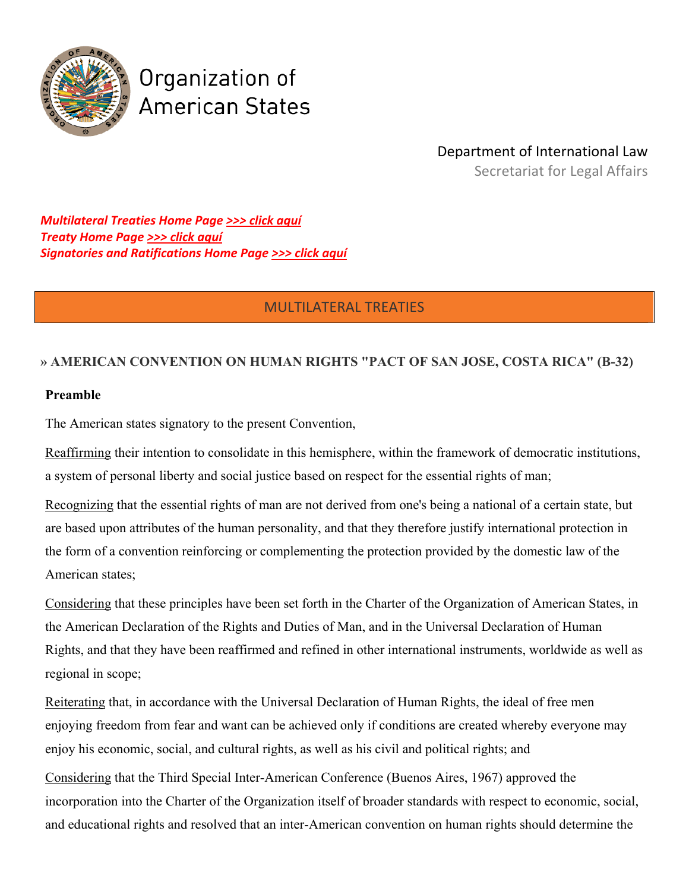

Organization of **American States** 

> Department of International Law Secretariat for Legal Affairs

*Multilateral Treaties Home Page >>> click [aquí](http://www.oas.org/dil/treaties.htm) Treaty Home Page >>> click [aquí](http://www.oas.org/dil/treaties_B-32_American_Convention_on_Human_Rights.htm) Signatories and Ratifications Home Page >>> click [aquí](http://www.oas.org/dil/treaties_B-32_American_Convention_on_Human_Rights_sign.htm)*

# MULTILATERAL TREATIES

# **» AMERICAN CONVENTION ON HUMAN RIGHTS "PACT OF SAN JOSE, COSTA RICA" (B-32)**

#### **Preamble**

The American states signatory to the present Convention,

Reaffirming their intention to consolidate in this hemisphere, within the framework of democratic institutions, a system of personal liberty and social justice based on respect for the essential rights of man;

Recognizing that the essential rights of man are not derived from one's being a national of a certain state, but are based upon attributes of the human personality, and that they therefore justify international protection in the form of a convention reinforcing or complementing the protection provided by the domestic law of the American states;

Considering that these principles have been set forth in the Charter of the Organization of American States, in the American Declaration of the Rights and Duties of Man, and in the Universal Declaration of Human Rights, and that they have been reaffirmed and refined in other international instruments, worldwide as well as regional in scope;

Reiterating that, in accordance with the Universal Declaration of Human Rights, the ideal of free men enjoying freedom from fear and want can be achieved only if conditions are created whereby everyone may enjoy his economic, social, and cultural rights, as well as his civil and political rights; and

Considering that the Third Special Inter-American Conference (Buenos Aires, 1967) approved the incorporation into the Charter of the Organization itself of broader standards with respect to economic, social, and educational rights and resolved that an inter-American convention on human rights should determine the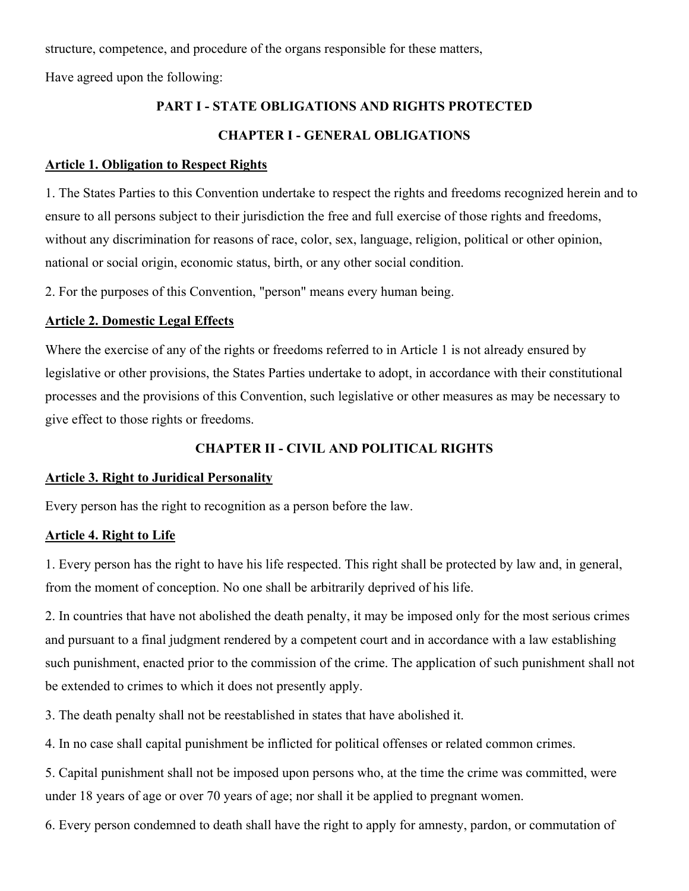structure, competence, and procedure of the organs responsible for these matters,

Have agreed upon the following:

### **PART I - STATE OBLIGATIONS AND RIGHTS PROTECTED**

### **CHAPTER I - GENERAL OBLIGATIONS**

### **Article 1. Obligation to Respect Rights**

1. The States Parties to this Convention undertake to respect the rights and freedoms recognized herein and to ensure to all persons subject to their jurisdiction the free and full exercise of those rights and freedoms, without any discrimination for reasons of race, color, sex, language, religion, political or other opinion, national or social origin, economic status, birth, or any other social condition.

2. For the purposes of this Convention, "person" means every human being.

### **Article 2. Domestic Legal Effects**

Where the exercise of any of the rights or freedoms referred to in Article 1 is not already ensured by legislative or other provisions, the States Parties undertake to adopt, in accordance with their constitutional processes and the provisions of this Convention, such legislative or other measures as may be necessary to give effect to those rights or freedoms.

# **CHAPTER II - CIVIL AND POLITICAL RIGHTS**

# **Article 3. Right to Juridical Personality**

Every person has the right to recognition as a person before the law.

# **Article 4. Right to Life**

1. Every person has the right to have his life respected. This right shall be protected by law and, in general, from the moment of conception. No one shall be arbitrarily deprived of his life.

2. In countries that have not abolished the death penalty, it may be imposed only for the most serious crimes and pursuant to a final judgment rendered by a competent court and in accordance with a law establishing such punishment, enacted prior to the commission of the crime. The application of such punishment shall not be extended to crimes to which it does not presently apply.

3. The death penalty shall not be reestablished in states that have abolished it.

4. In no case shall capital punishment be inflicted for political offenses or related common crimes.

5. Capital punishment shall not be imposed upon persons who, at the time the crime was committed, were under 18 years of age or over 70 years of age; nor shall it be applied to pregnant women.

6. Every person condemned to death shall have the right to apply for amnesty, pardon, or commutation of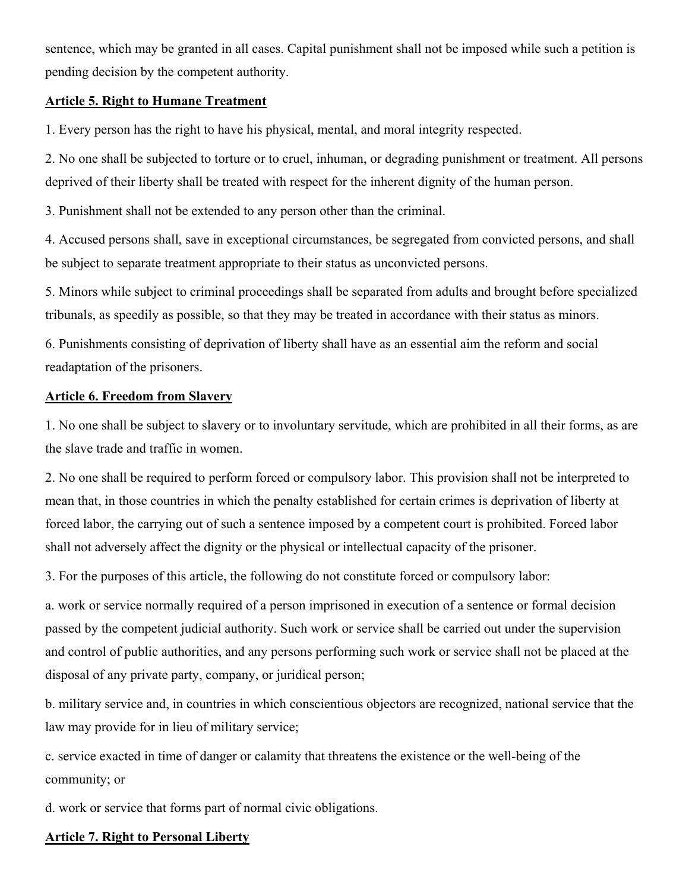sentence, which may be granted in all cases. Capital punishment shall not be imposed while such a petition is pending decision by the competent authority.

### **Article 5. Right to Humane Treatment**

1. Every person has the right to have his physical, mental, and moral integrity respected.

2. No one shall be subjected to torture or to cruel, inhuman, or degrading punishment or treatment. All persons deprived of their liberty shall be treated with respect for the inherent dignity of the human person.

3. Punishment shall not be extended to any person other than the criminal.

4. Accused persons shall, save in exceptional circumstances, be segregated from convicted persons, and shall be subject to separate treatment appropriate to their status as unconvicted persons.

5. Minors while subject to criminal proceedings shall be separated from adults and brought before specialized tribunals, as speedily as possible, so that they may be treated in accordance with their status as minors.

6. Punishments consisting of deprivation of liberty shall have as an essential aim the reform and social readaptation of the prisoners.

### **Article 6. Freedom from Slavery**

1. No one shall be subject to slavery or to involuntary servitude, which are prohibited in all their forms, as are the slave trade and traffic in women.

2. No one shall be required to perform forced or compulsory labor. This provision shall not be interpreted to mean that, in those countries in which the penalty established for certain crimes is deprivation of liberty at forced labor, the carrying out of such a sentence imposed by a competent court is prohibited. Forced labor shall not adversely affect the dignity or the physical or intellectual capacity of the prisoner.

3. For the purposes of this article, the following do not constitute forced or compulsory labor:

a. work or service normally required of a person imprisoned in execution of a sentence or formal decision passed by the competent judicial authority. Such work or service shall be carried out under the supervision and control of public authorities, and any persons performing such work or service shall not be placed at the disposal of any private party, company, or juridical person;

b. military service and, in countries in which conscientious objectors are recognized, national service that the law may provide for in lieu of military service;

c. service exacted in time of danger or calamity that threatens the existence or the well-being of the community; or

d. work or service that forms part of normal civic obligations.

# **Article 7. Right to Personal Liberty**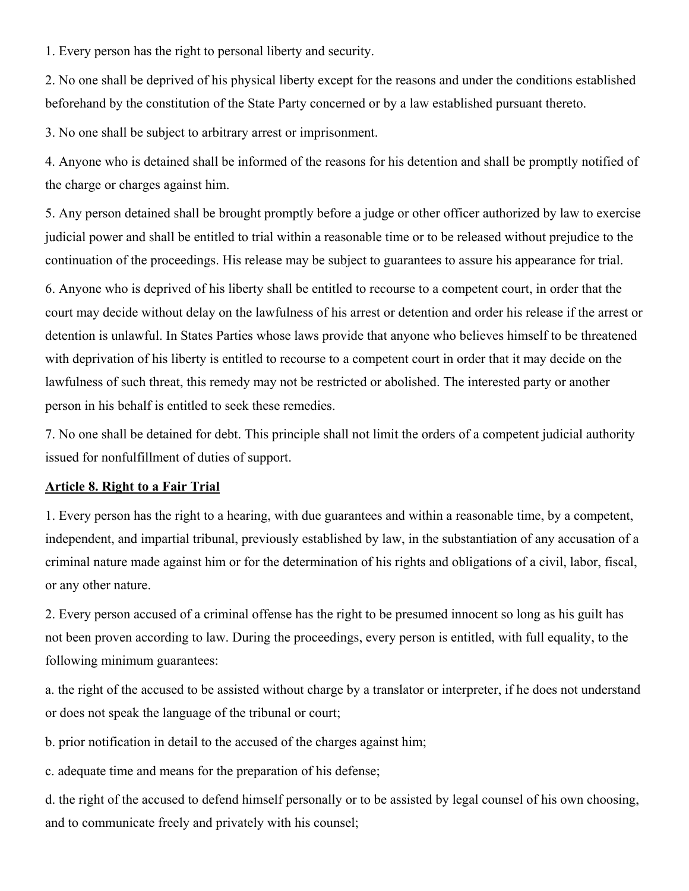1. Every person has the right to personal liberty and security.

2. No one shall be deprived of his physical liberty except for the reasons and under the conditions established beforehand by the constitution of the State Party concerned or by a law established pursuant thereto.

3. No one shall be subject to arbitrary arrest or imprisonment.

4. Anyone who is detained shall be informed of the reasons for his detention and shall be promptly notified of the charge or charges against him.

5. Any person detained shall be brought promptly before a judge or other officer authorized by law to exercise judicial power and shall be entitled to trial within a reasonable time or to be released without prejudice to the continuation of the proceedings. His release may be subject to guarantees to assure his appearance for trial.

court may decide without delay on the lawfulness of his arrest or detention and order his release if the arrest or 6. Anyone who is deprived of his liberty shall be entitled to recourse to a competent court, in order that the detention is unlawful. In States Parties whose laws provide that anyone who believes himself to be threatened with deprivation of his liberty is entitled to recourse to a competent court in order that it may decide on the lawfulness of such threat, this remedy may not be restricted or abolished. The interested party or another person in his behalf is entitled to seek these remedies.

7. No one shall be detained for debt. This principle shall not limit the orders of a competent judicial authority issued for nonfulfillment of duties of support.

### **Article 8. Right to a Fair Trial**

1. Every person has the right to a hearing, with due guarantees and within a reasonable time, by a competent, independent, and impartial tribunal, previously established by law, in the substantiation of any accusation of a criminal nature made against him or for the determination of his rights and obligations of a civil, labor, fiscal, or any other nature.

2. Every person accused of a criminal offense has the right to be presumed innocent so long as his guilt has not been proven according to law. During the proceedings, every person is entitled, with full equality, to the following minimum guarantees:

a. the right of the accused to be assisted without charge by a translator or interpreter, if he does not understand or does not speak the language of the tribunal or court;

b. prior notification in detail to the accused of the charges against him;

c. adequate time and means for the preparation of his defense;

d. the right of the accused to defend himself personally or to be assisted by legal counsel of his own choosing, and to communicate freely and privately with his counsel;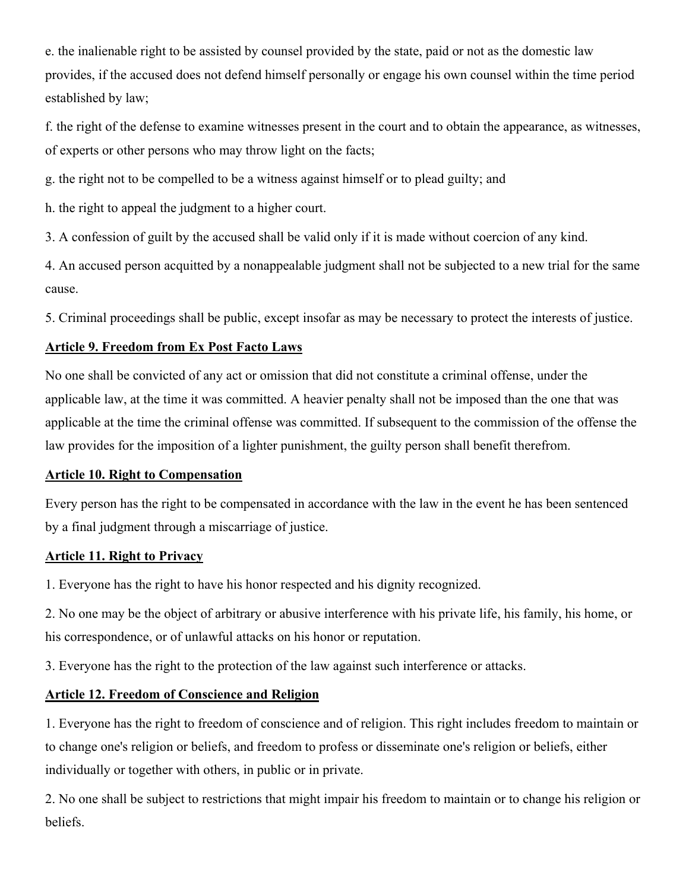e. the inalienable right to be assisted by counsel provided by the state, paid or not as the domestic law provides, if the accused does not defend himself personally or engage his own counsel within the time period established by law;

f. the right of the defense to examine witnesses present in the court and to obtain the appearance, as witnesses, of experts or other persons who may throw light on the facts;

g. the right not to be compelled to be a witness against himself or to plead guilty; and

h. the right to appeal the judgment to a higher court.

3. A confession of guilt by the accused shall be valid only if it is made without coercion of any kind.

4. An accused person acquitted by a nonappealable judgment shall not be subjected to a new trial for the same cause.

5. Criminal proceedings shall be public, except insofar as may be necessary to protect the interests of justice.

# **Article 9. Freedom from Ex Post Facto Laws**

No one shall be convicted of any act or omission that did not constitute a criminal offense, under the applicable law, at the time it was committed. A heavier penalty shall not be imposed than the one that was applicable at the time the criminal offense was committed. If subsequent to the commission of the offense the law provides for the imposition of a lighter punishment, the guilty person shall benefit therefrom.

# **Article 10. Right to Compensation**

Every person has the right to be compensated in accordance with the law in the event he has been sentenced by a final judgment through a miscarriage of justice.

# **Article 11. Right to Privacy**

1. Everyone has the right to have his honor respected and his dignity recognized.

2. No one may be the object of arbitrary or abusive interference with his private life, his family, his home, or his correspondence, or of unlawful attacks on his honor or reputation.

3. Everyone has the right to the protection of the law against such interference or attacks.

# **Article 12. Freedom of Conscience and Religion**

1. Everyone has the right to freedom of conscience and of religion. This right includes freedom to maintain or to change one's religion or beliefs, and freedom to profess or disseminate one's religion or beliefs, either individually or together with others, in public or in private.

2. No one shall be subject to restrictions that might impair his freedom to maintain or to change his religion or beliefs.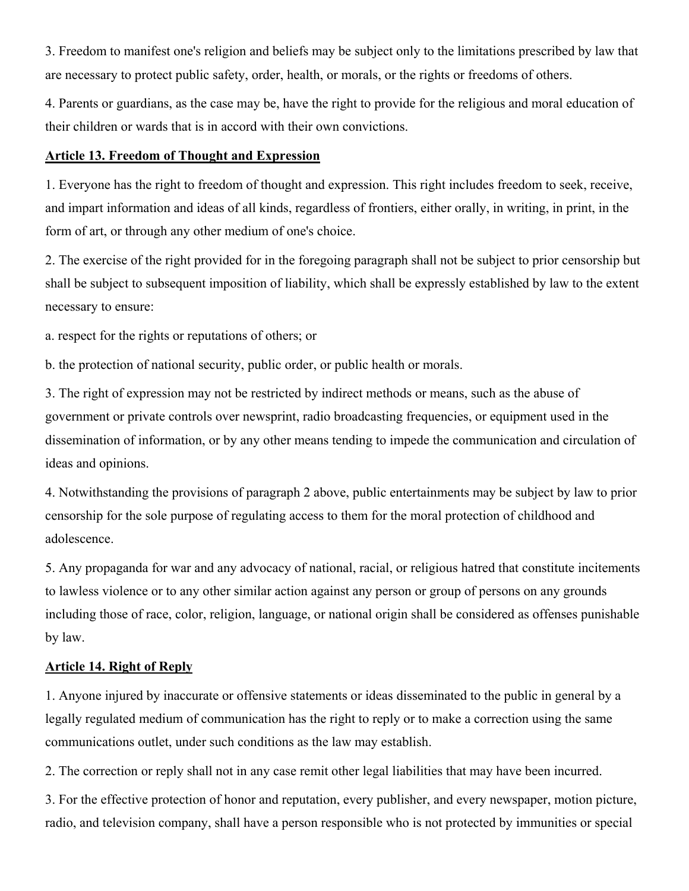3. Freedom to manifest one's religion and beliefs may be subject only to the limitations prescribed by law that are necessary to protect public safety, order, health, or morals, or the rights or freedoms of others.

4. Parents or guardians, as the case may be, have the right to provide for the religious and moral education of their children or wards that is in accord with their own convictions.

#### **Article 13. Freedom of Thought and Expression**

1. Everyone has the right to freedom of thought and expression. This right includes freedom to seek, receive, and impart information and ideas of all kinds, regardless of frontiers, either orally, in writing, in print, in the form of art, or through any other medium of one's choice.

2. The exercise of the right provided for in the foregoing paragraph shall not be subject to prior censorship but shall be subject to subsequent imposition of liability, which shall be expressly established by law to the extent necessary to ensure:

a. respect for the rights or reputations of others; or

b. the protection of national security, public order, or public health or morals.

3. The right of expression may not be restricted by indirect methods or means, such as the abuse of government or private controls over newsprint, radio broadcasting frequencies, or equipment used in the dissemination of information, or by any other means tending to impede the communication and circulation of ideas and opinions.

4. Notwithstanding the provisions of paragraph 2 above, public entertainments may be subject by law to prior censorship for the sole purpose of regulating access to them for the moral protection of childhood and adolescence.

5. Any propaganda for war and any advocacy of national, racial, or religious hatred that constitute incitements including those of race, color, religion, language, or national origin shall be considered as offenses punishable to lawless violence or to any other similar action against any person or group of persons on any grounds by law.

### **4. Right of Reply Article 1**

1. Anyone injured by inaccurate or offensive statements or ideas disseminated to the public in general by a legally regulated medium of communication has the right to reply or to make a correction using the same communications outlet, under such conditions as the law may establish.

2. The correction or reply shall not in any case remit other legal liabilities that may have been incurred.

3. For the effective protection of honor and reputation, every publisher, and every newspaper, motion picture, radio, and television company, shall have a person responsible who is not protected by immunities or special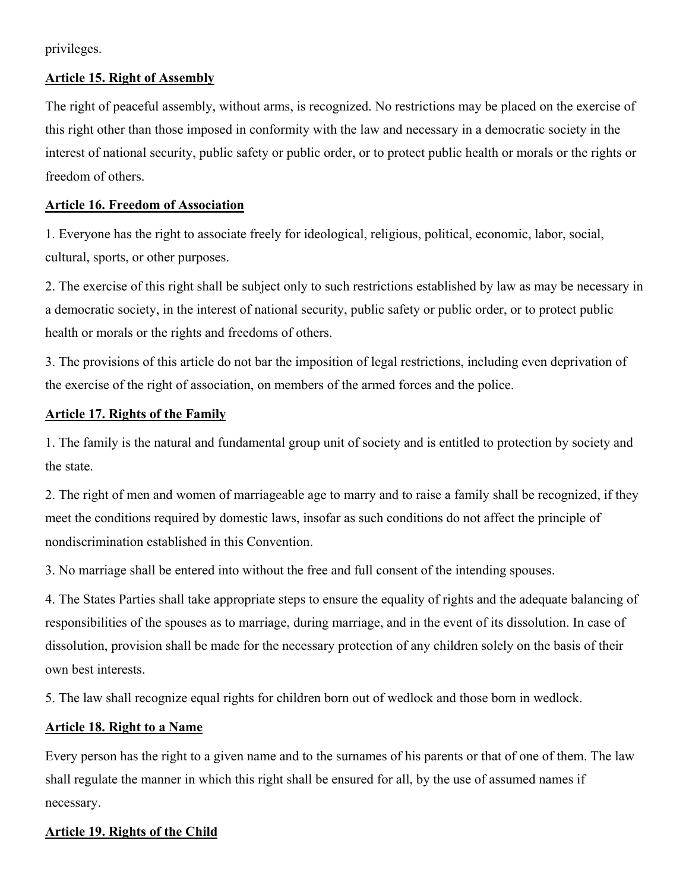privileges.

### **Article 15. Right of Assembly**

The right of peaceful assembly, without arms, is recognized. No restrictions may be placed on the exercise of interest of national security, public safety or public order, or to protect public health or morals or the rights or this right other than those imposed in conformity with the law and necessary in a democratic society in the freedom of others.

### **Article 16. Freedom of Association**

1. Everyone has the right to associate freely for ideological, religious, political, economic, labor, social, cultural, sports, or other purposes.

2. The exercise of this right shall be subject only to such restrictions established by law as may be necessary in a democratic society, in the interest of national security, public safety or public order, or to protect public health or morals or the rights and freedoms of others.

3. The provisions of this article do not bar the imposition of legal restrictions, including even deprivation of the exercise of the right of association, on members of the armed forces and the police.

### **Article 17. Rights of the Family**

1. The family is the natural and fundamental group unit of society and is entitled to protection by society and the state.

2. The right of men and women of marriageable age to marry and to raise a family shall be recognized, if they meet the conditions required by domestic laws, insofar as such conditions do not affect the principle of nondiscrimination established in this Convention.

3. No marriage shall be entered into without the free and full consent of the intending spouses.

4. The States Parties shall take appropriate steps to ensure the equality of rights and the adequate balancing of responsibilities of the spouses as to marriage, during marriage, and in the event of its dissolution. In case of dissolution, provision shall be made for the necessary protection of any children solely on the basis of their own best interests.

5. The law shall recognize equal rights for children born out of wedlock and those born in wedlock.

# **Article 18. Right to a Name**

Every person has the right to a given name and to the surnames of his parents or that of one of them. The law shall regulate the manner in which this right shall be ensured for all, by the use of assumed names if necessary.

# Article 19. Rights of the Child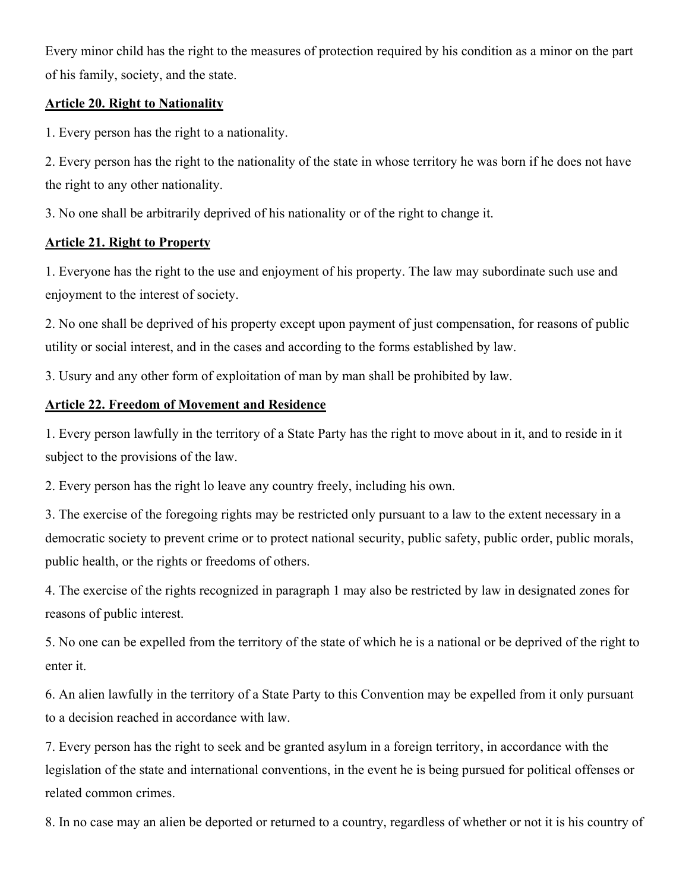Every minor child has the right to the measures of protection required by his condition as a minor on the part of his family, society, and the state.

### **Article 20. Right to Nationality**

1. Every person has the right to a nationality.

2. Every person has the right to the nationality of the state in whose territory he was born if he does not have the right to any other nationality.

3. No one shall be arbitrarily deprived of his nationality or of the right to change it.

# **Article 21. Right to Property**

1. Everyone has the right to the use and enjoyment of his property. The law may subordinate such use and enjoyment to the interest of society.

2. No one shall be deprived of his property except upon payment of just compensation, for reasons of public utility or social interest, and in the cases and according to the forms established by law.

3. Usury and any other form of exploitation of man by man shall be prohibited by law.

# **Article 22. Freedom of Movement and Residence**

1. Every person lawfully in the territory of a State Party has the right to move about in it, and to reside in it subject to the provisions of the law.

2. Every person has the right lo leave any country freely, including his own.

3. The exercise of the foregoing rights may be restricted only pursuant to a law to the extent necessary in a democratic society to prevent crime or to protect national security, public safety, public order, public morals, public health, or the rights or freedoms of others.

4. The exercise of the rights recognized in paragraph 1 may also be restricted by law in designated zones for reasons of public interest.

5. No one can be expelled from the territory of the state of which he is a national or be deprived of the right to enter it.

6. An alien lawfully in the territory of a State Party to this Convention may be expelled from it only pursuant to a decision reached in accordance with law.

7. Every person has the right to seek and be granted asylum in a foreign territory, in accordance with the legislation of the state and international conventions, in the event he is being pursued for political offenses or related common crimes.

8. In no case may an alien be deported or returned to a country, regardless of whether or not it is his country of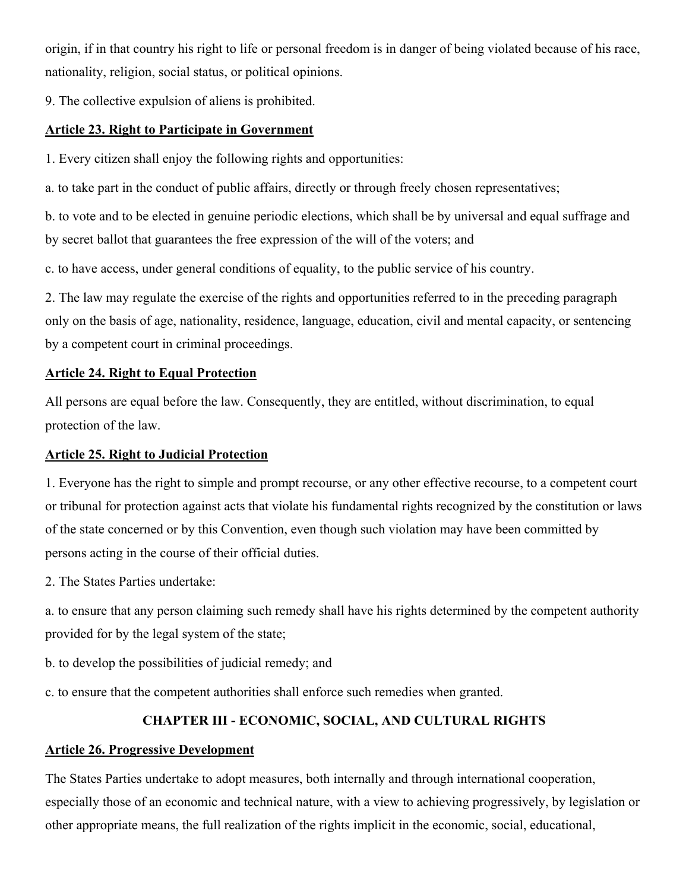origin, if in that country his right to life or personal freedom is in danger of being violated because of his race, nationality, religion, social status, or political opinions.

9. The collective expulsion of aliens is prohibited.

### **Article 23. Right to Participate in Government**

1. Every citizen shall enjoy the following rights and opportunities:

a. to take part in the conduct of public affairs, directly or through freely chosen representatives;

b. to vote and to be elected in genuine periodic elections, which shall be by universal and equal suffrage and by secret ballot that guarantees the free expression of the will of the voters; and

c. to have access, under general conditions of equality, to the public service of his country.

2. The law may regulate the exercise of the rights and opportunities referred to in the preceding paragraph only on the basis of age, nationality, residence, language, education, civil and mental capacity, or sentencing by a competent court in criminal proceedings.

### **Article 24. Right to Equal Protection**

All persons are equal before the law. Consequently, they are entitled, without discrimination, to equal protection of the law.

# **Article 25. Right to Judicial Protection**

1. Everyone has the right to simple and prompt recourse, or any other effective recourse, to a competent court or tribunal for protection against acts that violate his fundamental rights recognized by the constitution or laws of the state concerned or by this Convention, even though such violation may have been committed by persons acting in the course of their official duties.

2. The States Parties undertake:

a. to ensure that any person claiming such remedy shall have his rights determined by the competent authority provided for by the legal system of the state;

b. to develop the possibilities of judicial remedy; and

c. to ensure that the competent authorities shall enforce such remedies when granted.

# **CHAPTER III - ECONOMIC, SOCIAL, AND CULTURAL RIGHTS**

# **Article 26. Progr essive Development**

The States Parties undertake to adopt measures, both internally and through international cooperation, especially those of an economic and technical nature, with a view to achieving progressively, by legislation or other appropriate means, the full realization of the rights implicit in the economic, social, educational,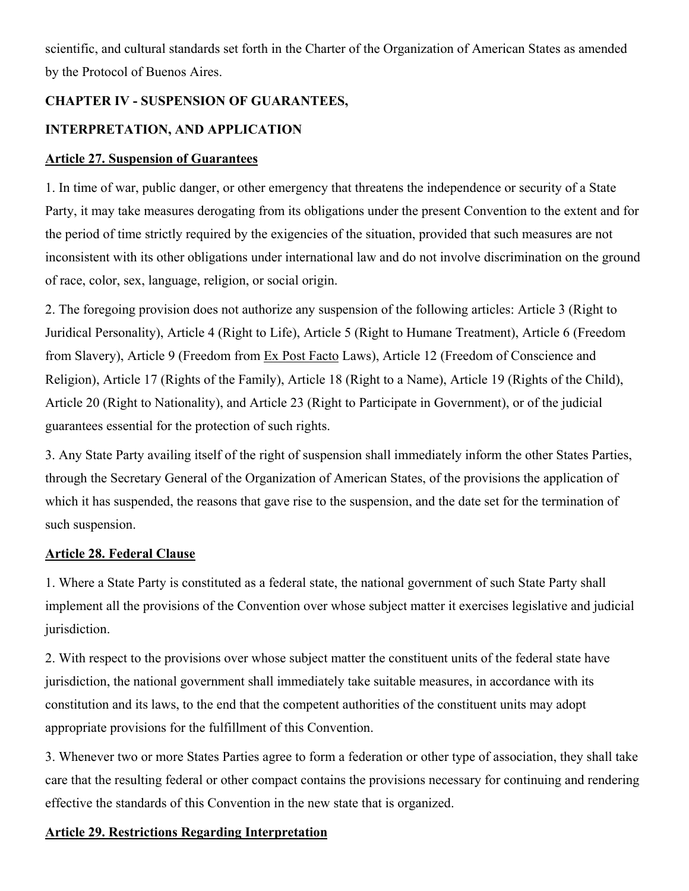scientific, and cultural standards set forth in the Charter of the Organization of American States as ame nded by the Protocol of Buenos Aires.

# **CHAPTER IV - SUSPENSION OF GUARANTEES,**

# **INTERPRETATION, AND APPLICATION**

# **Article 27. Suspension of Guarantees**

1. In time of war, public danger, or other emergency that threatens the independence or security of a State Party, it may take measures derogating from its obligations under the present Convention to the extent and for inconsistent with its other obligations under international law and do not involve discrimination on the ground the period of time strictly required by the exigencies of the situation, provided that such measures are not of race, color, sex, language, religion, or social origin.

2. The foregoing provision does not authorize any suspension of the following articles: Article 3 (Right to Juridical Personality), Article 4 (Right to Life), Article 5 (Right to Humane Treatment), Article 6 (Freedom from Slavery), Article 9 (Freedom from Ex Post Facto Laws), Article 12 (Freedom of Conscience and Religion), Article 17 (Rights of the Family), Article 18 (Right to a Name), Article 19 (Rights of the Child), Article 20 (Right to Nationality), and Article 23 (Right to Participate in Government), or of the judicial guarantees essential for the protection of such rights.

3. Any State Party availing itself of the right of suspen sion shall immediately inform the other States Parties, through the Secretary General of the Organization of American States, of the provisions the application of which it has suspended, the reasons that gave rise to the suspension, and the date set for the termination of such suspension.

# <u>Article 28. Federal Clause</u>

1. Where a State Party is constituted as a federal state, the national government of such State Party shall implement all the provisions of the Convention over whose subject matter it exercises legislative and judicial jurisdiction.

2. With respect to the provisions over whose subject matter the constituent units of the federal state have jurisdiction, the national government shall immediately take suitable measures, in accordance with its constitution and its laws, to the end that the competent authorities of the constituent units may adopt appropriate provisions for the fulfillment of this Convention.

3. Whenever two or more States Parties agree to form a federation or other type of association, they shall take care that the resulting federal or other compact contains the provisions necessary for continuing and rendering effective the standards of this Convention in the new state that is organized.

# **Article 29. Restrictions Regarding Interpretation**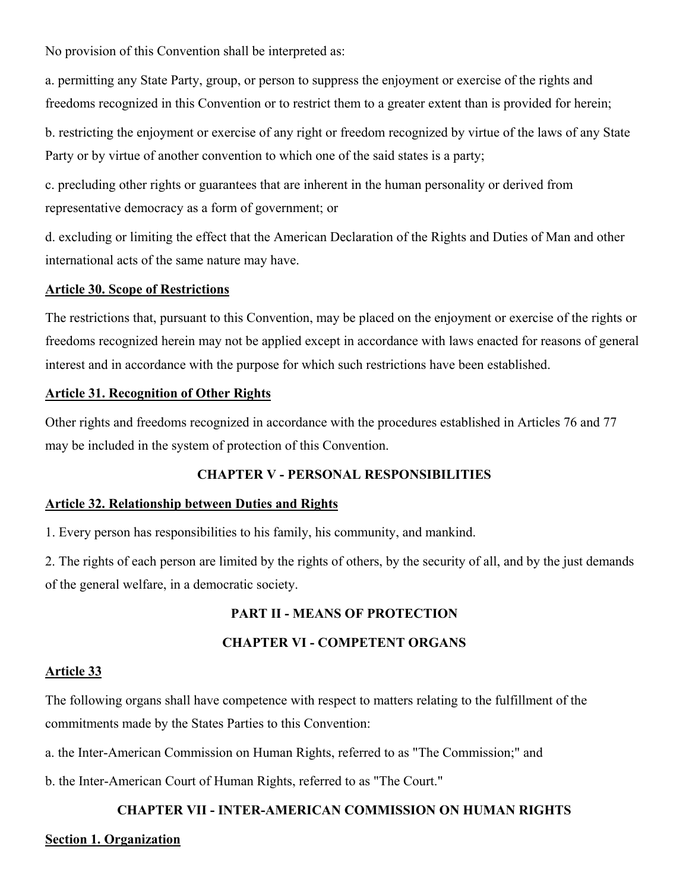No provision of this Convention shall be interpreted as:

a. permitting any State Party, group, or person to suppress the enjoyment or exercise of the rights and freedoms recognized in this Convention or to restrict them to a greater extent than is provided for herein;

b. restricting the enjoyment or exercise of any right or freedom recognized by virtue of the laws of any State Party or by virtue of another convention to which one of the said states is a party;

c. precluding other rights or guarantees that are inherent in the human personality or derived from representative democracy as a form of government; or

d. excluding or limiting the effect that the American Declaration of the Rights and Duties of Man and other international acts of the same nature may have.

#### **Article 30. Scope of Restrictions**

The restrictions that, pursuant to this Convention, may be placed on the enjoyment or exercise of the rights or freedoms recognized herein may not be applied except in accordance with laws enacted for reasons of general interest and in accordance with the purpose for which such restrictions have been established.

#### **Article 31. Recognition of Other Rights**

Other rights and freedoms recognized in accordance with the procedures established in Articles 76 and 77 may be included in the system of protection of this Convention.

### **ONSIBILITIES CHAPTER V - PERSONAL RESP**

### **Article 32. Relationship be tween Duties and Rights**

1. Every person has responsibilities to his family, his community, and mankind.

2. The rights of each person are limited by the rights of others, by the security of all, and by the just demands of the general welfare, in a democratic society.

### **EANS OF PROTECTION PART II - M**

### **C HAPTER VI - COMPETENT ORGANS**

#### **Article 33**

The following organs shall have competence with respect to matters relating to the fulfillment of the commitments made by the States Parties to this Convention:

a. the Inter-American Commission on Human Rights, referred to as "The Commission;" and

b. the Inter-American Court of Human Rights, referred to as "The Court."

# **N HUMAN RIGHTS CHAPTER VII - INTER-AMERICAN COMMISSION O**

### **Section 1. Organization**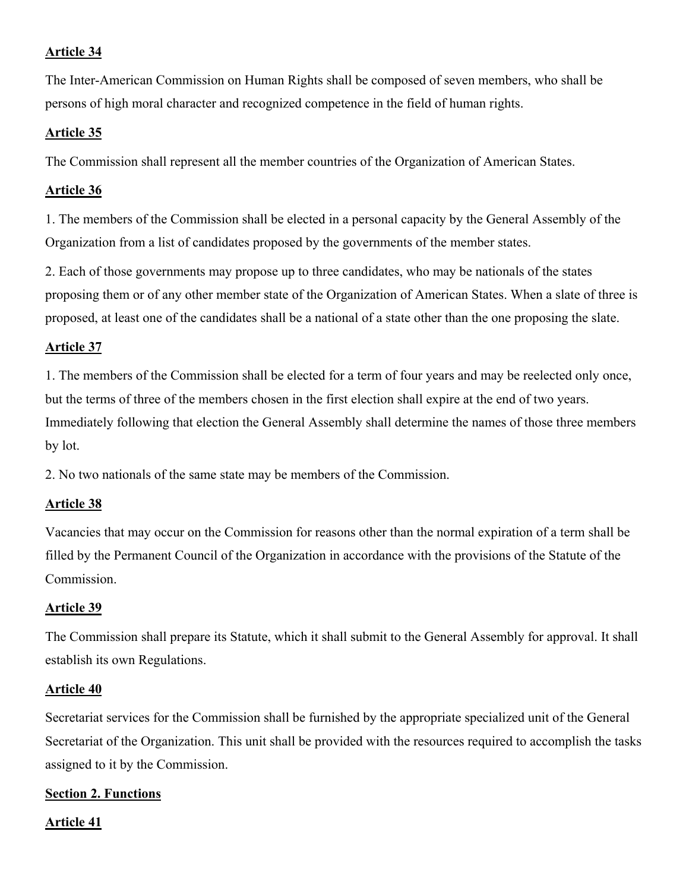### **Article 34**

The Inter-American Commission on Human Rights shall be composed of seven members, who shall be persons of high moral character and recognized competence in the field of human rights.

### **Article 35**

The Commission shall represent all the member countries of the Organization of American States.

### **Article 36**

1. The members of the Commission shall be elected in a personal capacity by the General Assembly of the Organization from a list of candidates proposed by the governments of the member states.

proposing them or of any other member state of the Organization of American States. When a slate of three is 2. Each of those governments may propose up to three candidates, who may be nationals of the states proposed, at least one of the candidates shall be a national of a state other than the one proposing the slate.

# **Article 37**

1. The members of the Commission shall be elected for a term of four years and may be reelected only once, but the terms of three of the members chosen in the first election shall expire at the end of two years. Immediately following that election the General Assembly shall determine the names of those three members by lot.

2. No two nationals of the same state may be members of the Commission.

# **38 Article**

Vacancies that may occur on the Commission for reasons other than the normal expiration of a term shall be filled by the Permanent Council of the Organization in accordance with the provisions of the Statute of the Commission.

# **Article 39**

The Commission shall prepare its Statute, which it shall submit to the General Assembly for approval. It shall establish its own Regulations.

### **Article 40**

Secretariat services for the Commission shall be furnished by the appropriate specialized unit of the General Secretariat of the Organization. This unit shall be provided with the resources required to accomplish the tasks assigned to it by the Commission.

### **Section 2. Functions**

### **Article 41**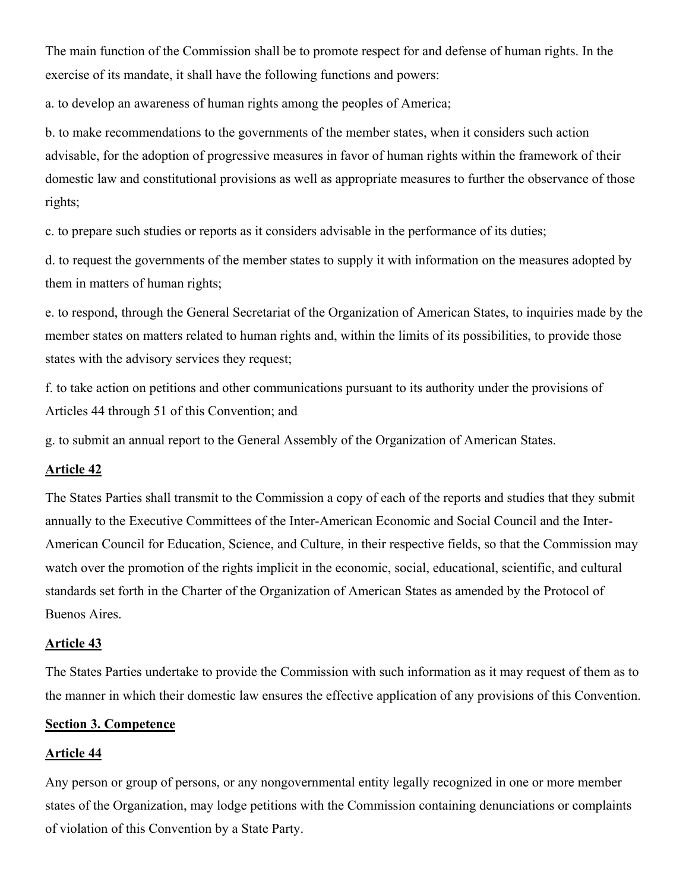The main function of the Commission shall be to promote respect for and defense of human rights. In the exercise of its mandate, it shall have the following functions and powers:

a. to develop an awareness of human rights among the peoples of America;

b. to make recommendations to the governments of the member states, when it considers such action advisable, for the adoption of progressive measures in favor of human rights within the framework of their domestic law and constitutional provisions as well as appropriate measures to further the observance of those rights;

c. to prepare such studies or reports as it considers advisable in the performance of its duties;

d. to request the governments of the member states to supply it with information on the measures adopted by them in matters of human rights;

e. to respond, through the General Secretariat of the Organization of American States, to inquiries made by the member states on matters related to human rights and, within the limits of its possibilities, to provide those states with the advisory services they request;

f. to take action on petitions and other communications pursuant to its authority under the provisions of Articles 44 through 51 of this Convention; and

g. to submit an annual report to the General Assembly of the Organization of American States.

### **Article 42**

The States Parties shall transmit to the Commission a copy of each of the reports and studies that they submit annually to the Executive Committees of the Inter-American Economic and Social Council and the Inter-American Council for Education, Science, and Culture, in their respective fields, so that the Commission may watch over the promotion of the rights implicit in the economic, social, educational, scientific, and cultural standards set forth in the Charter of the Organization of American States as amended by the Protocol of Buenos Aires.

#### **Article 43**

The States Parties undertake to provide the Commission with such information as it may request of them as to the manner in which their domestic law ensures the effective application of any provisions of this Convention.

#### **Section 3. Competence**

### **Article 44**

Any person or group of persons, or any nongovernmental entity legally recognized in one or more member states of the Organization, may lodge petitions with the Commission containing denunciations or complaints of violation of this Convention by a State Party.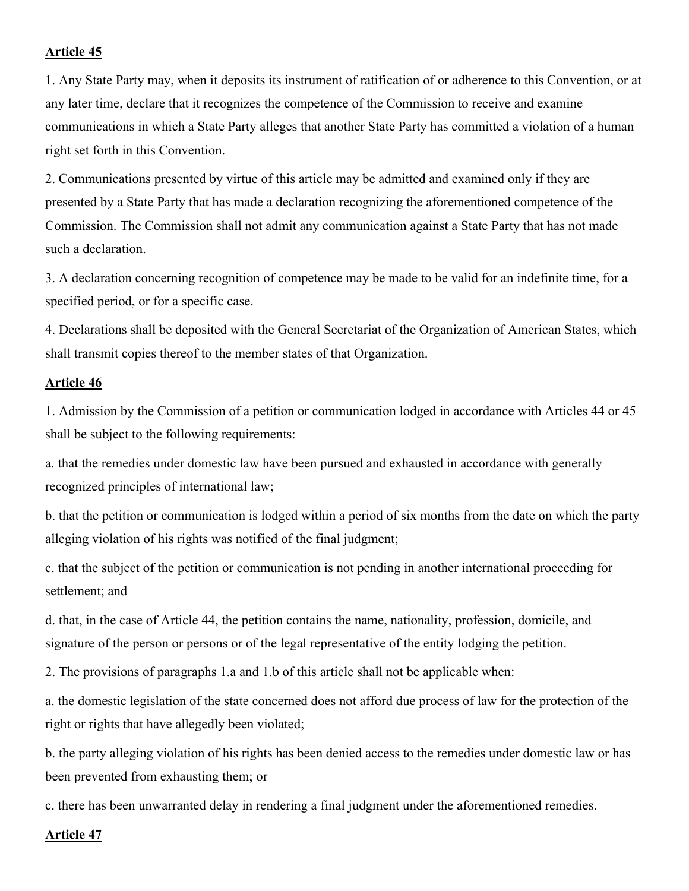#### **Article 45**

1. Any State Party may, when it deposits its instrument of ratification of or adherence to this Convention, or a t any later time, declare that it recognizes the comp etence of the Commission to receive and examine communications in which a State Party alleges that another State Party has committed a violation of a human right set forth in this Convention.

Commission. The Commission shall not admit any communication against a State Party that has not made 2. Communications presented by virtue of this article may be admitted and examined only if they are presented by a State Party that has made a declaration recognizing the aforementioned competence of the such a declaration.

3. A declaration concerning recognition of competence may be made to be valid for an indefinite time, for a specified period, or for a specific case.

4. Declarations shall be deposited with the General Secretariat of the Organization of American States, which shall transmit copies thereof to the member states of that Organization.

#### **Article 46**

1. Admission by the Commission of a petition or communication lodged in accordance with Articles 44 or 45 shall be subject to the following requirements:

a. that the remedies under domestic law have been pursued and exhausted in accordance with generally recognized principles of international law;

b. that the petition or communication is lodged within a period of six months from the date on which the party alleging violation of his rights was notified of the final judgment;

c. that the subject of the petition or communication is not pending in another international proceeding for settlement; and

d. that, in the case of Article 44, the petition contains the name, nationality, profession, domicile, and signature of the person or persons or of the legal representative of the entity lodging the petition.

2. The provisions of paragraphs 1.a and 1.b of this article shall not be applicable when:

a. the domestic legislation of the state concerned does not afford due process of law for the protection of the right or rights that have allegedly been violated;

b. the party alleging violation of his rights has been denied access to the remedies under domestic law or has been prevented from exhausting them; or

c. there has been unwarranted delay in rendering a final judgment under the aforementioned remedies.

#### **Article 47**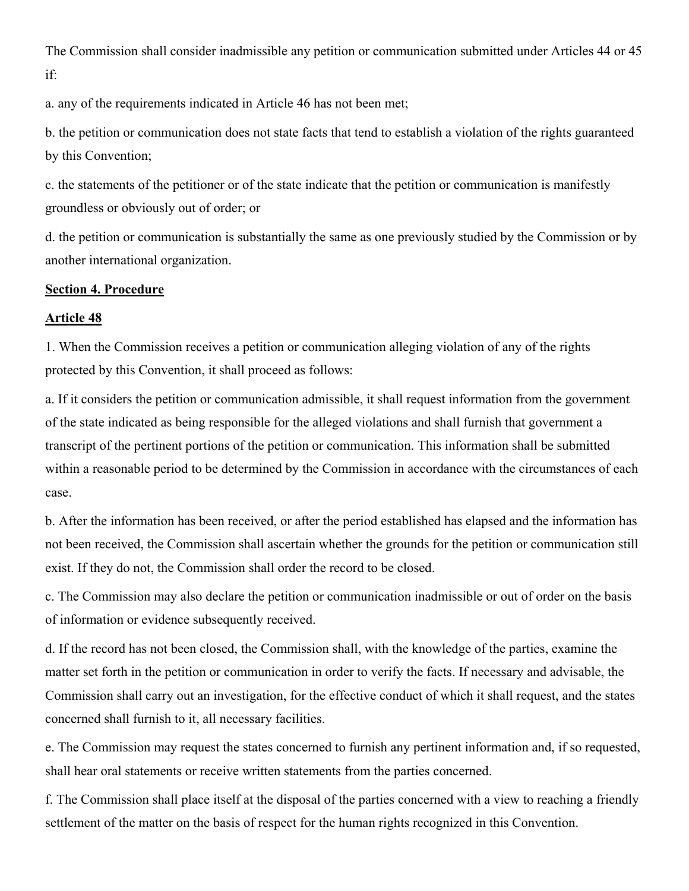The Commission shall consider inadmissible any petition or communication submitted under Articles 44 or 45 if:

a. any of the requirements indicated in Article 46 has not been met;

by this Convention; b. the petition or communication does not state facts that tend to establish a violation of the rights guaranteed

c. the statements of the petitioner or of the state indicate that the petition or communication is manifestly groundless or obviously out of order; or

d. the petition or communication is substantially the same as one previously studied by the Commission or by another international organization.

#### **Section 4. Procedure**

#### **Article 48**

1. When the Commission receives a petition or communication alleging violation of any of the rights protected by this Convention, it shall proceed as follows:

a. If it considers the petition or communication admissible, it shall request information from the government of the state indicated as being responsible for the alleged violations and shall furnish that government a transcript of the pertinent portions of the petition or communication. This information shall be submitted within a reasonable period to be determined by the Commission in accordance with the circumstances of each case.

b. After the information has been received, or after the period established has elapsed and the information has exist. If they do not, the Commission shall order the record to be closed. not been received, the Commission shall ascertain whether the grounds for the petition or communication still

c. The Commission may also declare the petition or communication inadmissible or out of order on the basis of information or evidence subsequently received.

d. If the record has not been closed, the Commission shall, with the knowledge of the parties, examine the Commission shall carry out an investigation, for the effective conduct of which it shall request, and the states concerned shall furnish to it, all necessary facilities. matter set forth in the petition or communication in order to verify the facts. If necessary and advisable, the

e. The Commission may request the states concerned to furnish any pertinent information and, if so requested, shall hear oral statements or receive written statements from the parties concerned.

f. The Commission shall place itself at the disposal of the parties concerned with a view to reaching a friendly settlement of the matter on the basis of respect for the human rights recognized in this Convention.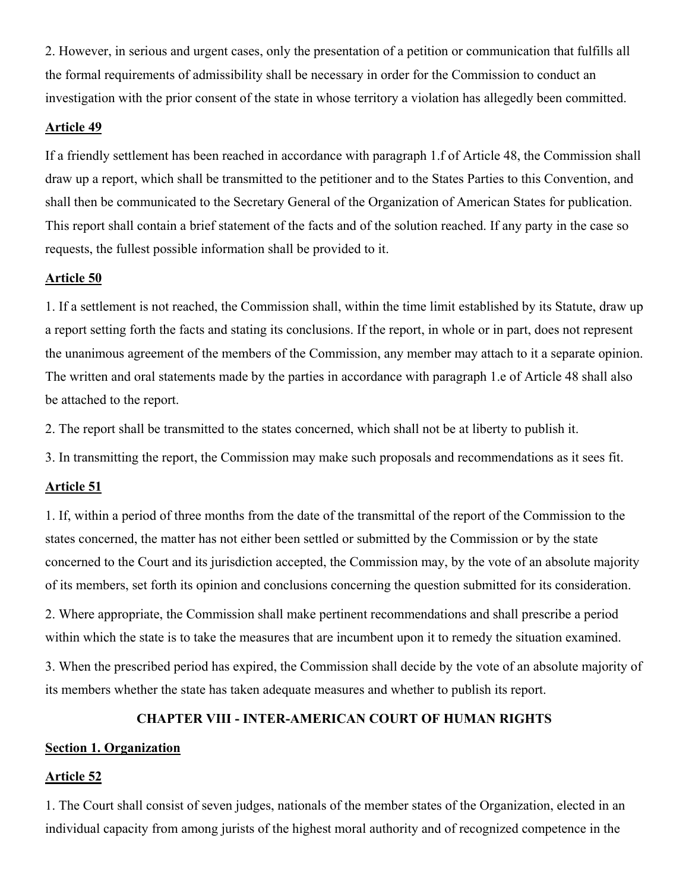2. However, in serious and urgent cases, only the presentation of a petition or communication that fulfills all investigation with the prior consent of the state in whose territory a violation has allegedly been committed. the formal requirements of admissibility shall be necessary in order for the Commission to conduct an

#### **Article 49**

If a friendly settlement has been reached in accordance with paragraph 1.f of Article 48, the Commission shall draw up a report, which shall be transmitted to the petitioner and to the States Parties to this Convention, and shall then be communicated to the Secretary General of the Organization of American States for publication. This report shall contain a brief statement of the facts and of the solution reached. If any party in the case so requests, the fullest possible information shall be provided to it.

### **Article 50**

1. If a settlement is not reached, the Commission shall, within the time limit established by its Statute, draw u p a report setting forth the facts and stating its conclusions. If the re port, in whole or in part, does not represent the unanimous agreement of the members of the Commission, any member may attach to it a separate opinion. The written and oral statements made by the parties in accordance with paragraph 1.e of Article 48 shall also be attached to the report.

2. The report shall be transmitted to the states concerned, which shall not be at liberty to publish it.

3. In transmitting the report, the Commission may make such proposals and recommendations as it sees fit.

### **Article 51**

1. If, within a period of three months from the date of the transmittal of the report of the Commission to the concerned to the Court and its jurisdiction accepted, the Commission may, by the vote of an absolute majority states concerned, the matter has not either been settled or submitted by the Commission or by the state of its members, set forth its opinion and conclusions concerning the question submitted for its consideration.

2. Where appropriate, the Commission shall make pertinent recommendations and shall prescribe a period within which the state is to take the measures that are incumbent upon it to remedy the situation examined.

3. When the prescribed period has expired, the Commission shall decide by the vote of an absolute majority of its members whether the state has taken adequate measures and whether to publish its report.

### **CHAPTER VIII - INTER-AMERICAN COURT OF HUMAN RIGHTS**

### **Section 1. Organization**

### **Article 52**

1. The Court shall consist of seven judges, nationals of the member states of the Organization, elected in an individual capacity from among jurists of the highest moral authority and of recognized competence in the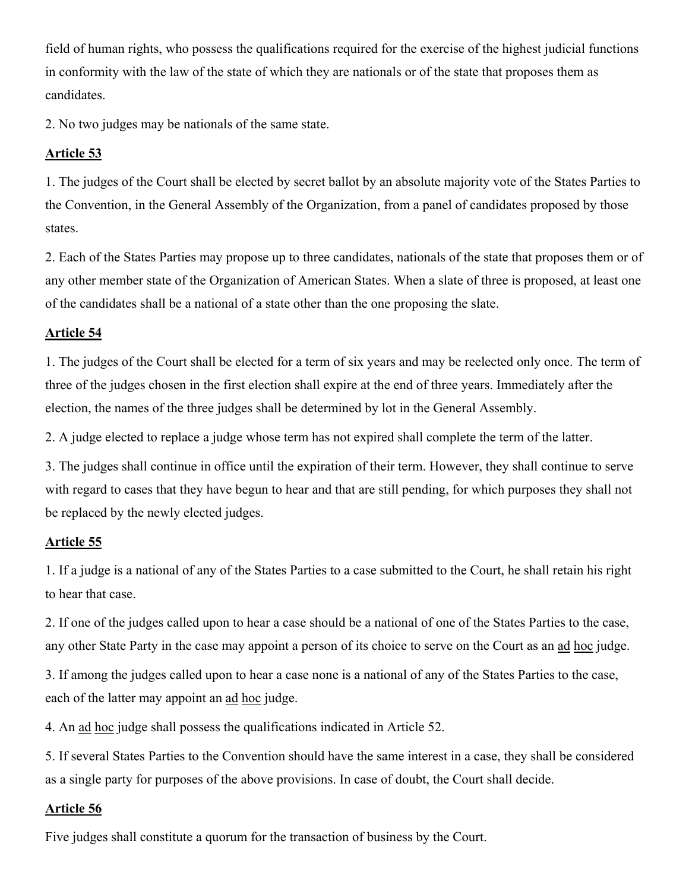field of human rights, who possess the qualifications required for the exercise of the highest judicial functions in conformity with the law of the state of which they are nationals or of the state that proposes them as candidates.

2. No two judges may be nationals of the same state.

# **Article 53**

1. The judges of the Court shall be elected by secret ballot by an absolute majority vote of the States Parties to the Convention, in the General Assembly of the Organization, from a panel of candidates proposed by those states.

any other member state of the Organization of American States. When a slate of three is proposed, at least one of the candidates shall be a national of a state other than the one proposing the slate. 2. Each of the States Parties may propose up to three candidates, nationals of the state that proposes them or of

# **Article 54**

1. The judges of the Court shall be elected for a term of six years and may be reelected only once. The term of three of the judges chosen in the first election shall expire at the end of three years. Immediately after the election, the names of the three judges shall be determined by lot in the General Assembly.

2. A judge elected to replace a judge whose term has not expired shall complete the term of the latter.

3. The judges shall continue in office until the expiration of their term. However, they shall continue to serve with regard to cases that they have begun to hear and that are still pending, for which purposes they shall not be replaced by the newly elected judges.

# **Article 55**

1. If a judge is a national of any of the States Parties to a case submitted to the Court, he shall retain his right to hear that case.

2. If one of the judges called upon to hear a case should be a national of one of the States Parties to the case, any other State Party in the case may appoint a person of its choice to serve on the Court as an ad hoc judge.

3. If among the judges called upon to hear a case none is a national of any of the States Parties to the case, each of the latter may appoint an ad hoc judge.

4. An ad hoc judge shall possess the qualifications indicated in Article 52.

5. If several States Parties to the Convention should have the same interest in a case, they shall be considered as a single party for purposes of the above provisions. In case of doubt, the Court shall decide.

# **Article 56**

Five judges shall constitute a quorum for the transaction of business by the Court.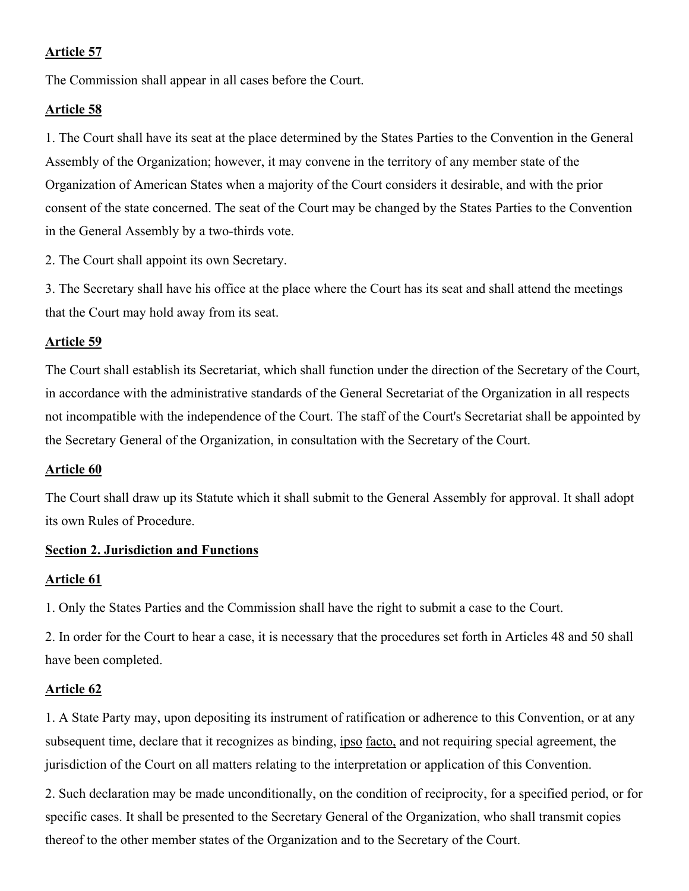### **Article 57**

The Commission shall appear in all cases before the Court.

# **Article 58**

1. The Court shall have its seat at the place determined by the States Parties to the Convention in the General Assembly of the Organization; however, it may convene in the territory of any member state of the Organization of American States when a majority of the Court considers it desirable, and with the prior consent of the state concerned. The seat of the Court may be changed by the States Parties to the Convention in the General Assembly by a two-thirds vote.

2. The Court shall appoint its own Secretary.

3. The Secretary shall have his office at the place where the Court has its seat and shall attend the meetings that the Court may hold away from its seat.

### **Article 59**

The Court shall establish its Secretariat, which shall function under the direction of the Secretary of the Court, in accordance with the administrative standa rds of the General Secretariat of the Organization in all respects not incompatible with the independence of the Court. The staff of the Court's Secretariat shall be appointed by the Secretary General of the Organization, in consultation with the Secretary of the Court.

### **Article 60**

The Court shall draw up its Statute which it shall submit to the General Assembly for approval. It shall adopt its own Rules of Procedure.

### **Section 2. Jurisdiction and Functions**

# **Article 61**

1. Only the States Parties and the Commission shall have the right to submit a case to the Court.

2. In order for the Court to hear a case, it is necessary that the procedures set forth in Articles 48 and 50 shall have been completed.

# **Article 62**

1. A State Party may, upon depositing its instrument of ratification or adherence to this Convention, or at any subsequent time, declare that it recognizes as binding, ipso facto, and not requiring special agreement, the jurisdiction of the Court on all matters relating to the interpretation or application of this Convention.

thereof to the other member states of the Organization and to the Secretary of the Court. 2. Such declaration may be made unconditionally, on the condition of reciprocity, for a specified period, or for specific cases. It shall be presented to the Secretary General of the Organization, who shall transmit copies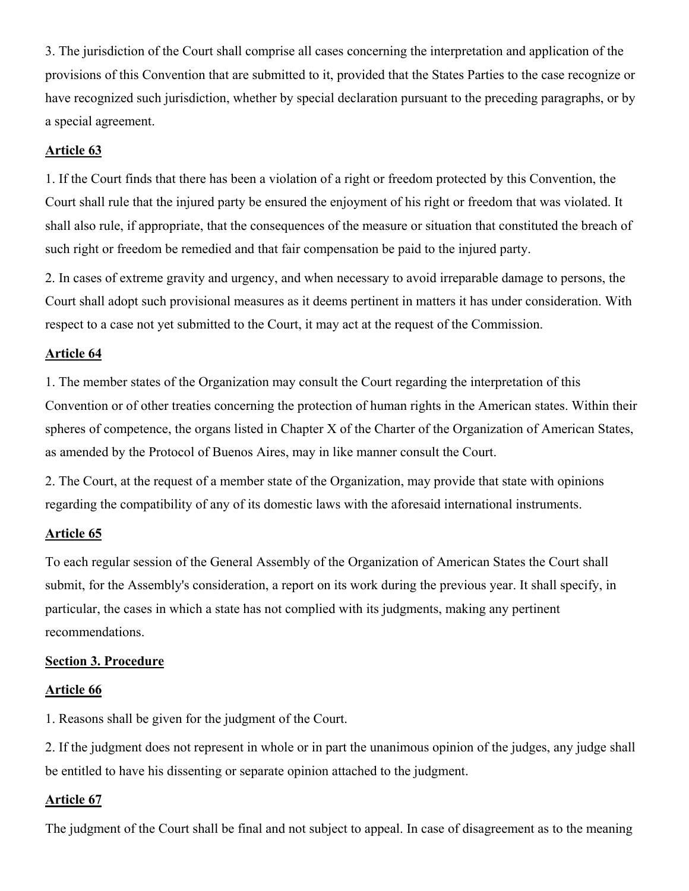3. The jurisdiction of the Court shall comprise all cases concerning the interpretation and application of the have recognized such jurisdiction, whether by special declaration pursuant to the preceding paragraphs, or by provisions of this Convention that are submitted to it, provided that the States Parties to the case recognize or a special agreement.

#### **Article 63**

1. If the Court finds that there has been a violation of a right or freedom protected by this Convention, the Court shall rule that the injured party be ensured the enjoyment of his right or freedom that was violated. It shall also rule, if appropriate, that the consequences of the measure or situation that constituted the breach of such right or freedom be remedied and that fair compensation be paid to the injured party.

2. In cases of extreme gravity and urgency, and when necessary to avoid irreparable damage to persons, the Court shall adopt such provisional measures as it deems pertinent in matters it has under consideration. With respect to a case not yet submitted to the Court, it may act at the request of the Commission.

#### **Article 64**

1. The member states of the Organization may consult the Court regarding the interpretation of this Convention or of other treaties concerning the protection of human rights in the American states. Within their spheres of competence, the organs listed in Chapter X of the Charter of the Organization of American States, as amended by the Protocol of Buenos Aires, may in like manner consult the Court.

2. The Court, at the request of a member state of the Organization, may provide that state with opinions regarding the compatibility of any of its domestic laws with the aforesaid international instruments.

#### **Article 65**

To each regular session of the General Assembly of the Organization of American States the Court shall submit, for the Assembly's consideration, a report on its work during the previous year. It shall specify, in recommendations. particular, the cases in which a state has not complied with its judgments, making any pertinent

#### **Section 3. Procedure**

#### **Article 66**

1. Reasons shall be given for the judgment of the Court.

2. If the judgment does not represent in whole or in part the unanimous opinion of the judges, any judge shall be entitled to have his dissenting or separate opinion attached to the judgment.

#### **Article 67**

The judgment of the Court shall be final and not subject to appeal. In case of disagreement as to the meaning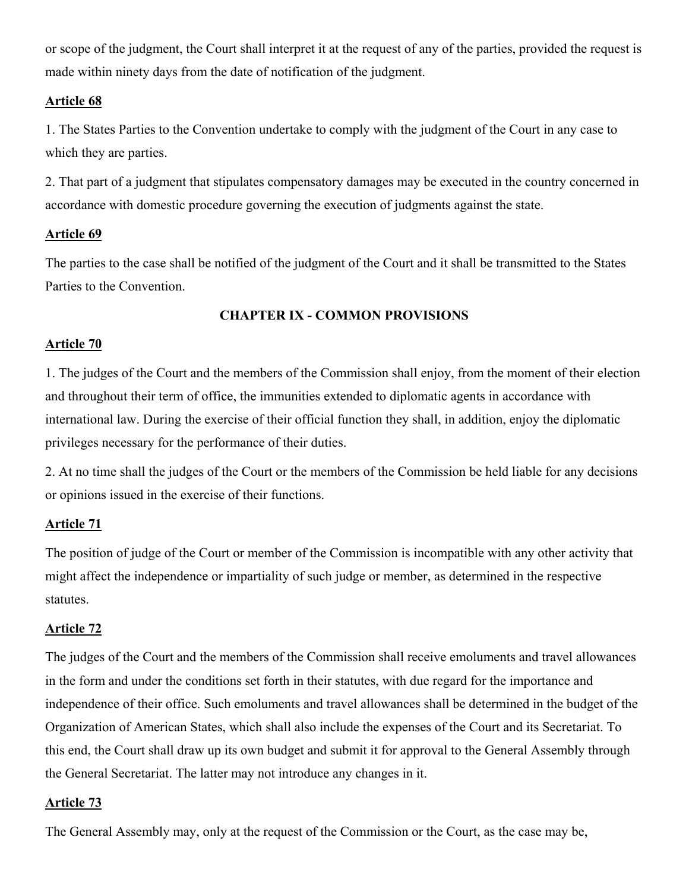or scope of the judgment, the Court shall interpret it at the request of any of the parties, provided the request is made within ninety days from the date of notification of the judgment.

### **Article 68**

1. The States Parties to the Convention undertake to comply with the judgment of the Court in any case to which they are parties.

2. That part of a judgment that stipulates compensatory damages may be executed in the country concerned in accordance with domestic procedure governing the execution of judgments against the state.

### **Article 69**

The parties to the case shall be notified of the judgment of the Court and it shall be transmitted to the States Parties to the Convention.

# **CHAPTER IX - COMMON PROVISIONS**

### **Article 70**

1. The judges of the Court and the members of the Commission shall enjoy, from the moment of their electio n and throughout their term o f office, the immunities extended to diplomatic agents in accordance with international law. During the exercise of their official function they shall, in addition, enjoy the diplomatic privileges necessary for the performance of their duties.

2. At no time shall the judges of the Court or the members of the Commission be held liable for any decisions or opinions issued in the exercise of their functions.

# **Article 71**

The position of judge of the Court or member of the Commission is incompatible with any other activity that might affect the independence or impartiality of such judge or member, as determined in the respective statutes.

# **Article 72**

The judges of the Court and the members of the Commission shall receive emoluments and travel allowances in the form and under the conditions set forth in their statutes, with due regard for the importance and independence of their office. Such emoluments and travel allowances shall be determined in the budget of the Organization of American States, which shall also include the expenses of the Court and its Secretariat. To this end, the Court shall draw up its own budget and submit it for approval to the General Assembly through the General Secretariat. The latter may not introduce any changes in it.

### **Article 73**

The General Assembly may, only at the request of the Commission or the Court, as the case may be,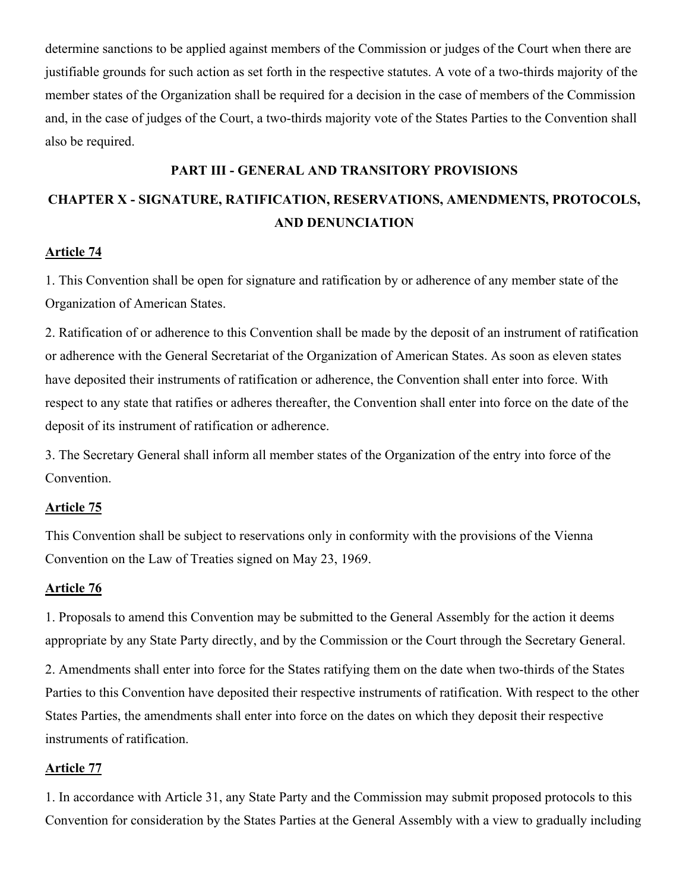determine sanctions to be applied against members of the Commission or judges of the Court when there are justifiable grounds for such action as set forth in the respective statutes. A vote of a two-thirds majority of the member states of the Organization shall be required for a decision in the case of members of the Commission and, in the case of judges of the Court, a two-thirds majority vote of the States Parties to the Convention shall also be required.

#### **PART III - GENERAL AND TRANSITORY PROVISIONS**

# **CHAPTER X - SIGNATURE, RATIFICATION, RESERVATIONS, AMENDMENTS, PROTOCOLS, AND DENUNCIATION**

#### **Article 74**

1. This Convention shall be open for signature and ratification by or adherence of any member state of the Organization of American States.

2. Ratification of or adherence to this Convention shall be made by the deposit of an instrument of ratification or adherence with the General Secretariat of the Organization of American States. As soon as eleven states respect to any state that ratifies or adheres thereafter, the Convention shall enter into force on the date of the have deposited their instruments of ratification or adherence, the Convention shall enter into force. With deposit of its instrument of ratification or adherence.

3. The Secretary General shall inform all member states of the Organization of the entry into force of the **Convention** 

#### **Article 75**

This Convention shall be subject to reservations only in conformity with the provisions of the Vienna Convention on the Law of Treaties signed on May 23, 1969.

#### **Article 76**

1. Proposals to amend this Convention may be submitted to the General Assembly for the action it deems appropriate by any State Party directly, and by the Commission or the Court through the Secretary General.

2. Amendments shall enter into force for the States ratifying them on the date when two-thirds of the States Parties to this Convention have deposited their respective instruments of ratification. With respect to the other States Parties, the amendments shall enter into force on the dates on which they deposit their respective instruments of ratification.

#### **Article 77**

1. In accordance with Article 31, any State Party and the Commission may submit proposed protocols to this Convention for consideration by the States Parties at the General Assembly with a view to gradually including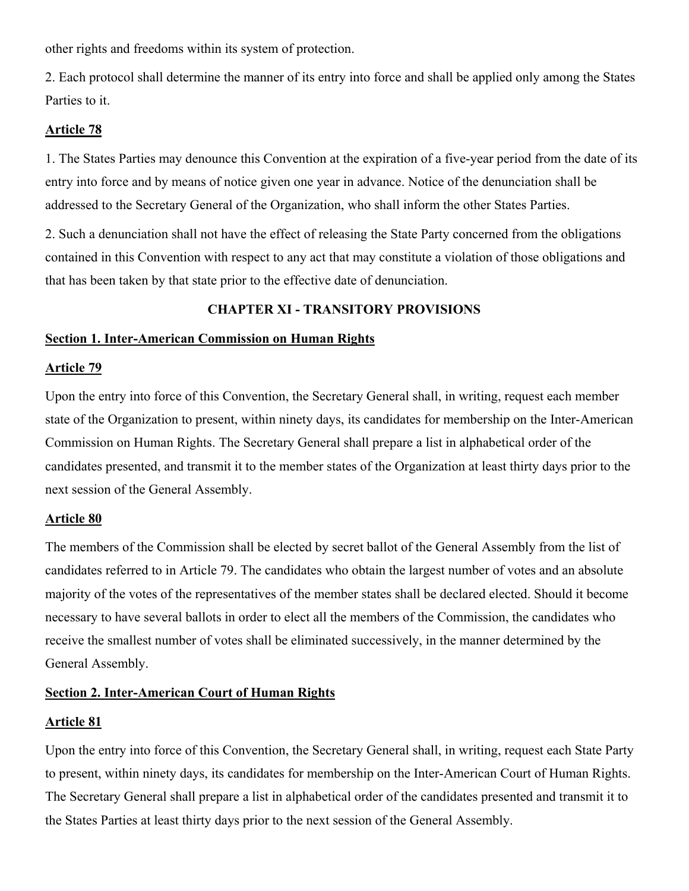other rights and freedoms within its system of protection.

2. Each protocol shall determine the manner of its entry into force and shall be applied only among the States Parties to it.

### **Article 78**

1. The States Parties may denounce this Convention at the expiration of a five-year period from the date of its addressed to the Secretary General of the Organization, who shall inform the other States Parties. entry into force and by means of notice given one year in advance. Notice of the denunciation shall be

2. Such a denunciation shall not have the effect of releasing the State Party concerned from the obligations contained in this Convention with respect to any act that may constitute a violation of those obligations and that has been taken by that state prior to the effective date of denunciation.

### **CHAPTER XI - TRANSITORY PROVISIONS**

#### **Section 1. Inter-American Commission on Human Rights**

#### **Article 79**

Upon the entry into force of this Convention, the Secretary General shall, in writing, request each member state of the Organization to present, within ninety days, its candidates for membership on the Inter-American Commission on Human Rights. The Secretary General shall prepare a list in alphabetical order of the candidates presented, and transmit it to the member states of the Organization at least thirty days prior to the next session of the General Assembly.

### **Article 80**

The members of the Commission shall be elected by secret ballot of the General Assembly from the lis t of candidates referred to in Article 79. The candidates who obtain the largest number of votes and an absolute majority of the votes of the representati ves of the member states shall be declared elected. Should it become necessary to have several ballots in order to elect all the members of the Commission, the candidates who receive the smallest number of votes shall be eliminated successively, in the manner determined by the General Assembly.

### **Section 2. Inter-American Court of Human Rights**

#### **Article 81**

Upon the entry into force of this Convention, the Secretary General shall, in writing, request each State P arty to present, within nin ety days, its candidates for membership on the Inter-American Court of Human Rights. The Secretary General shall prepare a list in alphabetical order of the candidates presented and transmit it to the States Parties at least thirty days prior to the next session of the General Assembly.